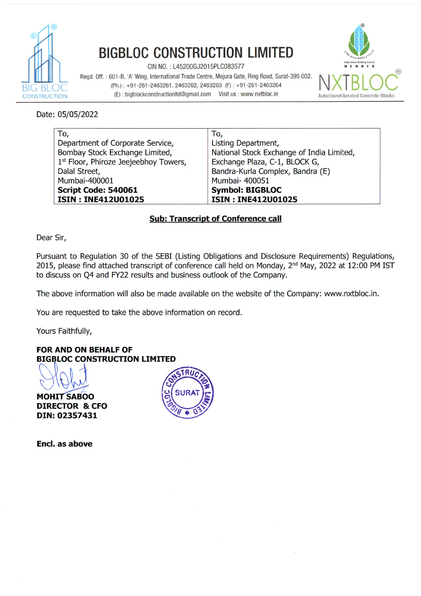

# **BIGBLOC CONSTRUCTION LIMITED**

CIN NO.: L45200GJ2015PLC083577

Regd. Off.: 601-B, 'A' Wing, International Trade Centre, Majura Gate, Ring Road, Surat-395 002. (Ph.): +91-261-2463261, 2463262, 2463263 (F): +91-261-2463264 (E): bigblockconstructionItd@gmail.com Visit us : www.nxtbloc.in



Date: 05/05/2022

| To,                                               | To,                                       |
|---------------------------------------------------|-------------------------------------------|
| Department of Corporate Service,                  | Listing Department,                       |
| Bombay Stock Exchange Limited,                    | National Stock Exchange of India Limited, |
| 1 <sup>st</sup> Floor, Phiroze Jeejeebhoy Towers, | Exchange Plaza, C-1, BLOCK G,             |
| Dalal Street,                                     | Bandra-Kurla Complex, Bandra (E)          |
| Mumbai-400001                                     | Mumbai- 400051                            |
| Script Code: 540061                               | <b>Symbol: BIGBLOC</b>                    |
| <b>ISIN: INE412U01025</b>                         | <b>ISIN: INE412U01025</b>                 |

# **Sub: Transcript of Conference call**

Dear Sir,

Pursuant to Regulation 30 of the SEBI (Listing Obligations and Disclosure Requirements) Regulations, 2015, please find attached transcript of conference call held on Monday, 2<sup>nd</sup> May, 2022 at 12:00 PM IST to discuss on Q4 and FY22 results and business outlook of the Company.

The above information will also be made available on the website of the Company: www.nxtbloc.in.

You are requested to take the above information on record.

Yours Faithfully,

**FOR AND ON BEHALF OF BIGBLOC CONSTRUCTION LIMITED** 

**MOHIT SABOO DIRECTOR & CFO** DIN: 02357431



Encl. as above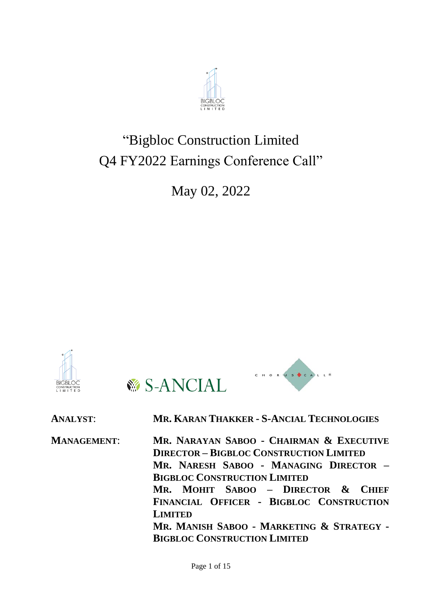

# "Bigbloc Construction Limited Q4 FY2022 Earnings Conference Call"

May 02, 2022





**ANALYST**: **MR. KARAN THAKKER - S-ANCIAL TECHNOLOGIES MANAGEMENT**: **MR. NARAYAN SABOO - CHAIRMAN & EXECUTIVE DIRECTOR – BIGBLOC CONSTRUCTION LIMITED**

CHORUS CALLE

**MR. NARESH SABOO - MANAGING DIRECTOR – BIGBLOC CONSTRUCTION LIMITED**

**MR. MOHIT SABOO – DIRECTOR & CHIEF FINANCIAL OFFICER - BIGBLOC CONSTRUCTION LIMITED**

**MR. MANISH SABOO - MARKETING & STRATEGY - BIGBLOC CONSTRUCTION LIMITED**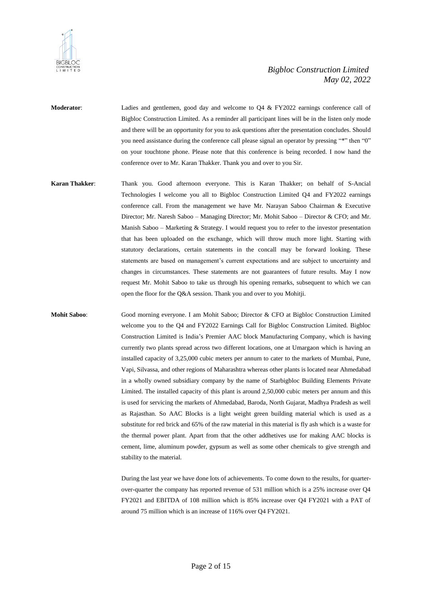

**Moderator:** Ladies and gentlemen, good day and welcome to Q4 & FY2022 earnings conference call of Bigbloc Construction Limited. As a reminder all participant lines will be in the listen only mode and there will be an opportunity for you to ask questions after the presentation concludes. Should you need assistance during the conference call please signal an operator by pressing "\*" then "0" on your touchtone phone. Please note that this conference is being recorded. I now hand the conference over to Mr. Karan Thakker. Thank you and over to you Sir.

**Karan Thakker**: Thank you. Good afternoon everyone. This is Karan Thakker; on behalf of S-Ancial Technologies I welcome you all to Bigbloc Construction Limited Q4 and FY2022 earnings conference call. From the management we have Mr. Narayan Saboo Chairman & Executive Director; Mr. Naresh Saboo – Managing Director; Mr. Mohit Saboo – Director & CFO; and Mr. Manish Saboo – Marketing & Strategy. I would request you to refer to the investor presentation that has been uploaded on the exchange, which will throw much more light. Starting with statutory declarations, certain statements in the concall may be forward looking. These statements are based on management's current expectations and are subject to uncertainty and changes in circumstances. These statements are not guarantees of future results. May I now request Mr. Mohit Saboo to take us through his opening remarks, subsequent to which we can open the floor for the Q&A session. Thank you and over to you Mohitji.

**Mohit Saboo**: Good morning everyone. I am Mohit Saboo; Director & CFO at Bigbloc Construction Limited welcome you to the Q4 and FY2022 Earnings Call for Bigbloc Construction Limited. Bigbloc Construction Limited is India's Premier AAC block Manufacturing Company, which is having currently two plants spread across two different locations, one at Umargaon which is having an installed capacity of 3,25,000 cubic meters per annum to cater to the markets of Mumbai, Pune, Vapi, Silvassa, and other regions of Maharashtra whereas other plants is located near Ahmedabad in a wholly owned subsidiary company by the name of Starbigbloc Building Elements Private Limited. The installed capacity of this plant is around 2,50,000 cubic meters per annum and this is used for servicing the markets of Ahmedabad, Baroda, North Gujarat, Madhya Pradesh as well as Rajasthan. So AAC Blocks is a light weight green building material which is used as a substitute for red brick and 65% of the raw material in this material is fly ash which is a waste for the thermal power plant. Apart from that the other addhetives use for making AAC blocks is cement, lime, aluminum powder, gypsum as well as some other chemicals to give strength and stability to the material.

> During the last year we have done lots of achievements. To come down to the results, for quarterover-quarter the company has reported revenue of 531 million which is a 25% increase over Q4 FY2021 and EBITDA of 108 million which is 85% increase over Q4 FY2021 with a PAT of around 75 million which is an increase of 116% over Q4 FY2021.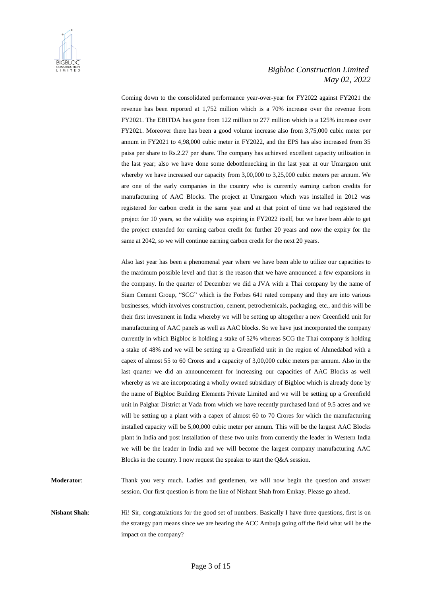

Coming down to the consolidated performance year-over-year for FY2022 against FY2021 the revenue has been reported at 1,752 million which is a 70% increase over the revenue from FY2021. The EBITDA has gone from 122 million to 277 million which is a 125% increase over FY2021. Moreover there has been a good volume increase also from 3,75,000 cubic meter per annum in FY2021 to 4,98,000 cubic meter in FY2022, and the EPS has also increased from 35 paisa per share to Rs.2.27 per share. The company has achieved excellent capacity utilization in the last year; also we have done some debottlenecking in the last year at our Umargaon unit whereby we have increased our capacity from 3,00,000 to 3,25,000 cubic meters per annum. We are one of the early companies in the country who is currently earning carbon credits for manufacturing of AAC Blocks. The project at Umargaon which was installed in 2012 was registered for carbon credit in the same year and at that point of time we had registered the project for 10 years, so the validity was expiring in FY2022 itself, but we have been able to get the project extended for earning carbon credit for further 20 years and now the expiry for the same at 2042, so we will continue earning carbon credit for the next 20 years.

Also last year has been a phenomenal year where we have been able to utilize our capacities to the maximum possible level and that is the reason that we have announced a few expansions in the company. In the quarter of December we did a JVA with a Thai company by the name of Siam Cement Group, "SCG" which is the Forbes 641 rated company and they are into various businesses, which involves construction, cement, petrochemicals, packaging, etc., and this will be their first investment in India whereby we will be setting up altogether a new Greenfield unit for manufacturing of AAC panels as well as AAC blocks. So we have just incorporated the company currently in which Bigbloc is holding a stake of 52% whereas SCG the Thai company is holding a stake of 48% and we will be setting up a Greenfield unit in the region of Ahmedabad with a capex of almost 55 to 60 Crores and a capacity of 3,00,000 cubic meters per annum. Also in the last quarter we did an announcement for increasing our capacities of AAC Blocks as well whereby as we are incorporating a wholly owned subsidiary of Bigbloc which is already done by the name of Bigbloc Building Elements Private Limited and we will be setting up a Greenfield unit in Palghar District at Vada from which we have recently purchased land of 9.5 acres and we will be setting up a plant with a capex of almost 60 to 70 Crores for which the manufacturing installed capacity will be 5,00,000 cubic meter per annum. This will be the largest AAC Blocks plant in India and post installation of these two units from currently the leader in Western India we will be the leader in India and we will become the largest company manufacturing AAC Blocks in the country. I now request the speaker to start the Q&A session.

**Moderator**: Thank you very much. Ladies and gentlemen, we will now begin the question and answer session. Our first question is from the line of Nishant Shah from Emkay. Please go ahead.

**Nishant Shah**: Hi! Sir, congratulations for the good set of numbers. Basically I have three questions, first is on the strategy part means since we are hearing the ACC Ambuja going off the field what will be the impact on the company?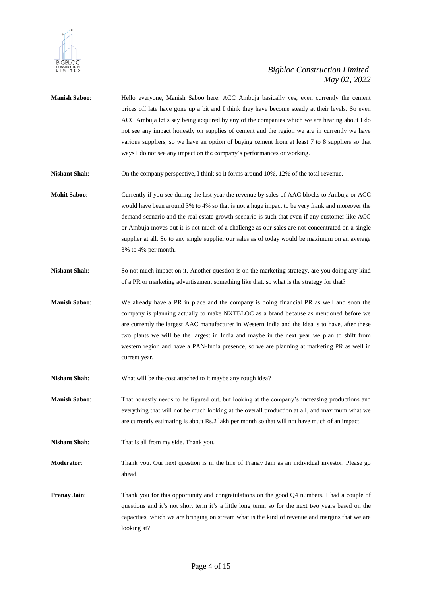

- **Manish Saboo**: Hello everyone, Manish Saboo here. ACC Ambuja basically yes, even currently the cement prices off late have gone up a bit and I think they have become steady at their levels. So even ACC Ambuja let's say being acquired by any of the companies which we are hearing about I do not see any impact honestly on supplies of cement and the region we are in currently we have various suppliers, so we have an option of buying cement from at least 7 to 8 suppliers so that ways I do not see any impact on the company's performances or working.
- **Nishant Shah**: On the company perspective, I think so it forms around 10%, 12% of the total revenue.
- **Mohit Saboo**: Currently if you see during the last year the revenue by sales of AAC blocks to Ambuja or ACC would have been around 3% to 4% so that is not a huge impact to be very frank and moreover the demand scenario and the real estate growth scenario is such that even if any customer like ACC or Ambuja moves out it is not much of a challenge as our sales are not concentrated on a single supplier at all. So to any single supplier our sales as of today would be maximum on an average 3% to 4% per month.
- **Nishant Shah**: So not much impact on it. Another question is on the marketing strategy, are you doing any kind of a PR or marketing advertisement something like that, so what is the strategy for that?
- **Manish Saboo**: We already have a PR in place and the company is doing financial PR as well and soon the company is planning actually to make NXTBLOC as a brand because as mentioned before we are currently the largest AAC manufacturer in Western India and the idea is to have, after these two plants we will be the largest in India and maybe in the next year we plan to shift from western region and have a PAN-India presence, so we are planning at marketing PR as well in current year.
- **Nishant Shah**: What will be the cost attached to it maybe any rough idea?
- **Manish Saboo**: That honestly needs to be figured out, but looking at the company's increasing productions and everything that will not be much looking at the overall production at all, and maximum what we are currently estimating is about Rs.2 lakh per month so that will not have much of an impact.
- **Nishant Shah**: That is all from my side. Thank you.
- **Moderator**: Thank you. Our next question is in the line of Pranay Jain as an individual investor. Please go ahead.
- **Pranay Jain**: Thank you for this opportunity and congratulations on the good Q4 numbers. I had a couple of questions and it's not short term it's a little long term, so for the next two years based on the capacities, which we are bringing on stream what is the kind of revenue and margins that we are looking at?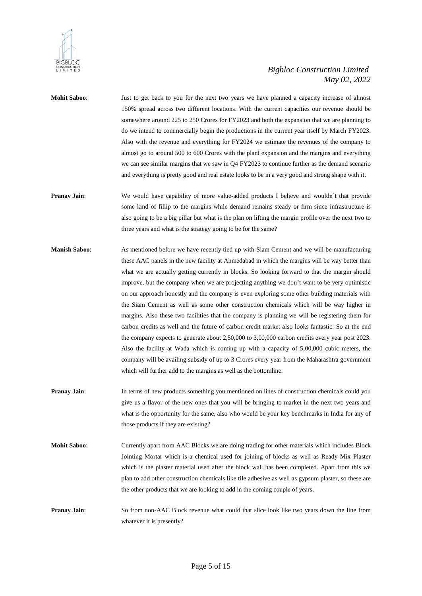

- **Mohit Saboo**: Just to get back to you for the next two years we have planned a capacity increase of almost 150% spread across two different locations. With the current capacities our revenue should be somewhere around 225 to 250 Crores for FY2023 and both the expansion that we are planning to do we intend to commercially begin the productions in the current year itself by March FY2023. Also with the revenue and everything for FY2024 we estimate the revenues of the company to almost go to around 500 to 600 Crores with the plant expansion and the margins and everything we can see similar margins that we saw in Q4 FY2023 to continue further as the demand scenario and everything is pretty good and real estate looks to be in a very good and strong shape with it.
- **Pranay Jain:** We would have capability of more value-added products I believe and wouldn't that provide some kind of fillip to the margins while demand remains steady or firm since infrastructure is also going to be a big pillar but what is the plan on lifting the margin profile over the next two to three years and what is the strategy going to be for the same?
- **Manish Saboo**: As mentioned before we have recently tied up with Siam Cement and we will be manufacturing these AAC panels in the new facility at Ahmedabad in which the margins will be way better than what we are actually getting currently in blocks. So looking forward to that the margin should improve, but the company when we are projecting anything we don't want to be very optimistic on our approach honestly and the company is even exploring some other building materials with the Siam Cement as well as some other construction chemicals which will be way higher in margins. Also these two facilities that the company is planning we will be registering them for carbon credits as well and the future of carbon credit market also looks fantastic. So at the end the company expects to generate about 2,50,000 to 3,00,000 carbon credits every year post 2023. Also the facility at Wada which is coming up with a capacity of 5,00,000 cubic meters, the company will be availing subsidy of up to 3 Crores every year from the Maharashtra government which will further add to the margins as well as the bottomline.
- **Pranay Jain:** In terms of new products something you mentioned on lines of construction chemicals could you give us a flavor of the new ones that you will be bringing to market in the next two years and what is the opportunity for the same, also who would be your key benchmarks in India for any of those products if they are existing?
- **Mohit Saboo**: Currently apart from AAC Blocks we are doing trading for other materials which includes Block Jointing Mortar which is a chemical used for joining of blocks as well as Ready Mix Plaster which is the plaster material used after the block wall has been completed. Apart from this we plan to add other construction chemicals like tile adhesive as well as gypsum plaster, so these are the other products that we are looking to add in the coming couple of years.
- **Pranay Jain:** So from non-AAC Block revenue what could that slice look like two years down the line from whatever it is presently?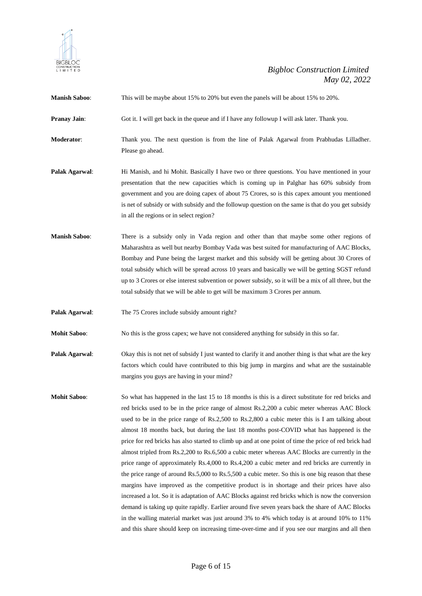

**Manish Saboo**: This will be maybe about 15% to 20% but even the panels will be about 15% to 20%.

**Pranay Jain**: Got it. I will get back in the queue and if I have any followup I will ask later. Thank you.

**Moderator**: Thank you. The next question is from the line of Palak Agarwal from Prabhudas Lilladher. Please go ahead.

- **Palak Agarwal:** Hi Manish, and hi Mohit. Basically I have two or three questions. You have mentioned in your presentation that the new capacities which is coming up in Palghar has 60% subsidy from government and you are doing capex of about 75 Crores, so is this capex amount you mentioned is net of subsidy or with subsidy and the followup question on the same is that do you get subsidy in all the regions or in select region?
- **Manish Saboo**: There is a subsidy only in Vada region and other than that maybe some other regions of Maharashtra as well but nearby Bombay Vada was best suited for manufacturing of AAC Blocks, Bombay and Pune being the largest market and this subsidy will be getting about 30 Crores of total subsidy which will be spread across 10 years and basically we will be getting SGST refund up to 3 Crores or else interest subvention or power subsidy, so it will be a mix of all three, but the total subsidy that we will be able to get will be maximum 3 Crores per annum.
- **Palak Agarwal:** The 75 Crores include subsidy amount right?
- **Mohit Saboo:** No this is the gross capex; we have not considered anything for subsidy in this so far.
- **Palak Agarwal:** Okay this is not net of subsidy I just wanted to clarify it and another thing is that what are the key factors which could have contributed to this big jump in margins and what are the sustainable margins you guys are having in your mind?
- **Mohit Saboo:** So what has happened in the last 15 to 18 months is this is a direct substitute for red bricks and red bricks used to be in the price range of almost Rs.2,200 a cubic meter whereas AAC Block used to be in the price range of Rs.2,500 to Rs.2,800 a cubic meter this is I am talking about almost 18 months back, but during the last 18 months post-COVID what has happened is the price for red bricks has also started to climb up and at one point of time the price of red brick had almost tripled from Rs.2,200 to Rs.6,500 a cubic meter whereas AAC Blocks are currently in the price range of approximately Rs.4,000 to Rs.4,200 a cubic meter and red bricks are currently in the price range of around Rs.5,000 to Rs.5,500 a cubic meter. So this is one big reason that these margins have improved as the competitive product is in shortage and their prices have also increased a lot. So it is adaptation of AAC Blocks against red bricks which is now the conversion demand is taking up quite rapidly. Earlier around five seven years back the share of AAC Blocks in the walling material market was just around 3% to 4% which today is at around 10% to 11% and this share should keep on increasing time-over-time and if you see our margins and all then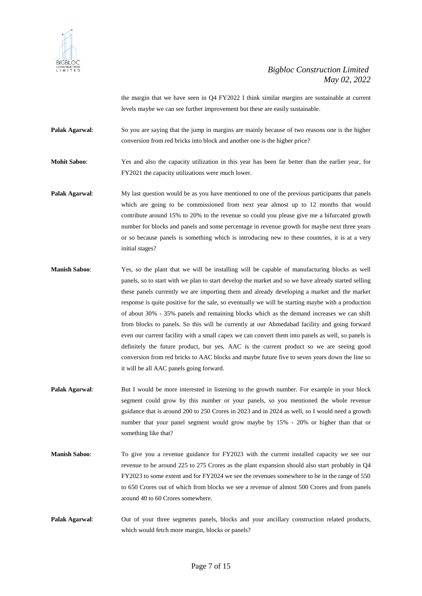

the margin that we have seen in Q4 FY2022 I think similar margins are sustainable at current levels maybe we can see further improvement but these are easily sustainable.

**Palak Agarwal:** So you are saying that the jump in margins are mainly because of two reasons one is the higher conversion from red bricks into block and another one is the higher price?

**Mohit Saboo**: Yes and also the capacity utilization in this year has been far better than the earlier year, for FY2021 the capacity utilizations were much lower.

- **Palak Agarwal:** My last question would be as you have mentioned to one of the previous participants that panels which are going to be commissioned from next year almost up to 12 months that would contribute around 15% to 20% to the revenue so could you please give me a bifurcated growth number for blocks and panels and some percentage in revenue growth for maybe next three years or so because panels is something which is introducing new to these countries, it is at a very initial stages?
- **Manish Saboo**: Yes, so the plant that we will be installing will be capable of manufacturing blocks as well panels, so to start with we plan to start develop the market and so we have already started selling these panels currently we are importing them and already developing a market and the market response is quite positive for the sale, so eventually we will be starting maybe with a production of about 30% - 35% panels and remaining blocks which as the demand increases we can shift from blocks to panels. So this will be currently at our Ahmedabad facility and going forward even our current facility with a small capex we can convert them into panels as well, so panels is definitely the future product, but yes, AAC is the current product so we are seeing good conversion from red bricks to AAC blocks and maybe future five to seven years down the line so it will be all AAC panels going forward.
- **Palak Agarwal:** But I would be more interested in listening to the growth number. For example in your block segment could grow by this number or your panels, so you mentioned the whole revenue guidance that is around 200 to 250 Crores in 2023 and in 2024 as well, so I would need a growth number that your panel segment would grow maybe by 15% - 20% or higher than that or something like that?
- **Manish Saboo:** To give you a revenue guidance for FY2023 with the current installed capacity we see our revenue to be around 225 to 275 Crores as the plant expansion should also start probably in Q4 FY2023 to some extent and for FY2024 we see the revenues somewhere to be in the range of 550 to 650 Crores out of which from blocks we see a revenue of almost 500 Crores and from panels around 40 to 60 Crores somewhere.
- **Palak Agarwal**: Out of your three segments panels, blocks and your ancillary construction related products, which would fetch more margin, blocks or panels?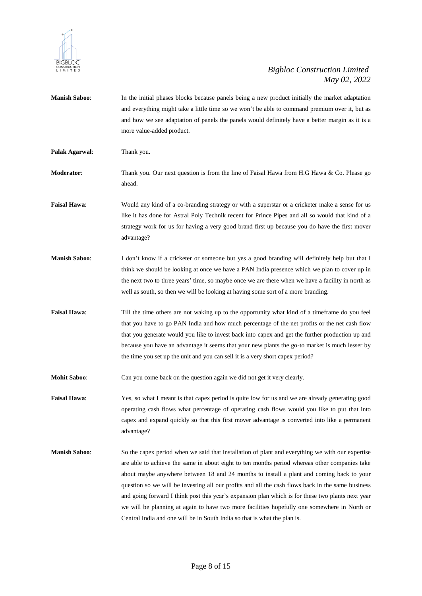

**Manish Saboo**: In the initial phases blocks because panels being a new product initially the market adaptation and everything might take a little time so we won't be able to command premium over it, but as and how we see adaptation of panels the panels would definitely have a better margin as it is a more value-added product. **Palak Agarwal**: Thank you. **Moderator:** Thank you. Our next question is from the line of Faisal Hawa from H.G Hawa & Co. Please go ahead. **Faisal Hawa**: Would any kind of a co-branding strategy or with a superstar or a cricketer make a sense for us like it has done for Astral Poly Technik recent for Prince Pipes and all so would that kind of a strategy work for us for having a very good brand first up because you do have the first mover advantage? **Manish Saboo**: I don't know if a cricketer or someone but yes a good branding will definitely help but that I think we should be looking at once we have a PAN India presence which we plan to cover up in the next two to three years' time, so maybe once we are there when we have a facility in north as well as south, so then we will be looking at having some sort of a more branding. **Faisal Hawa**: Till the time others are not waking up to the opportunity what kind of a timeframe do you feel that you have to go PAN India and how much percentage of the net profits or the net cash flow that you generate would you like to invest back into capex and get the further production up and because you have an advantage it seems that your new plants the go-to market is much lesser by the time you set up the unit and you can sell it is a very short capex period? **Mohit Saboo:** Can you come back on the question again we did not get it very clearly. **Faisal Hawa**: Yes, so what I meant is that capex period is quite low for us and we are already generating good operating cash flows what percentage of operating cash flows would you like to put that into capex and expand quickly so that this first mover advantage is converted into like a permanent advantage? **Manish Saboo**: So the capex period when we said that installation of plant and everything we with our expertise are able to achieve the same in about eight to ten months period whereas other companies take about maybe anywhere between 18 and 24 months to install a plant and coming back to your question so we will be investing all our profits and all the cash flows back in the same business and going forward I think post this year's expansion plan which is for these two plants next year we will be planning at again to have two more facilities hopefully one somewhere in North or Central India and one will be in South India so that is what the plan is.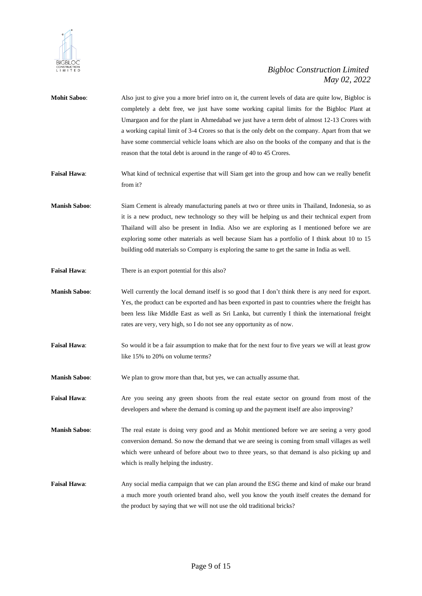

| <b>Mohit Saboo:</b>  | Also just to give you a more brief intro on it, the current levels of data are quite low, Bigbloc is<br>completely a debt free, we just have some working capital limits for the Bigbloc Plant at<br>Umargaon and for the plant in Ahmedabad we just have a term debt of almost 12-13 Crores with<br>a working capital limit of 3-4 Crores so that is the only debt on the company. Apart from that we<br>have some commercial vehicle loans which are also on the books of the company and that is the<br>reason that the total debt is around in the range of 40 to 45 Crores. |
|----------------------|----------------------------------------------------------------------------------------------------------------------------------------------------------------------------------------------------------------------------------------------------------------------------------------------------------------------------------------------------------------------------------------------------------------------------------------------------------------------------------------------------------------------------------------------------------------------------------|
| <b>Faisal Hawa:</b>  | What kind of technical expertise that will Siam get into the group and how can we really benefit<br>from it?                                                                                                                                                                                                                                                                                                                                                                                                                                                                     |
| <b>Manish Saboo:</b> | Siam Cement is already manufacturing panels at two or three units in Thailand, Indonesia, so as<br>it is a new product, new technology so they will be helping us and their technical expert from<br>Thailand will also be present in India. Also we are exploring as I mentioned before we are<br>exploring some other materials as well because Siam has a portfolio of I think about 10 to 15<br>building odd materials so Company is exploring the same to get the same in India as well.                                                                                    |
| <b>Faisal Hawa:</b>  | There is an export potential for this also?                                                                                                                                                                                                                                                                                                                                                                                                                                                                                                                                      |

**Manish Saboo:** Well currently the local demand itself is so good that I don't think there is any need for export. Yes, the product can be exported and has been exported in past to countries where the freight has been less like Middle East as well as Sri Lanka, but currently I think the international freight rates are very, very high, so I do not see any opportunity as of now.

**Faisal Hawa:** So would it be a fair assumption to make that for the next four to five years we will at least grow like 15% to 20% on volume terms?

**Manish Saboo**: We plan to grow more than that, but yes, we can actually assume that.

**Faisal Hawa**: Are you seeing any green shoots from the real estate sector on ground from most of the developers and where the demand is coming up and the payment itself are also improving?

**Manish Saboo**: The real estate is doing very good and as Mohit mentioned before we are seeing a very good conversion demand. So now the demand that we are seeing is coming from small villages as well which were unheard of before about two to three years, so that demand is also picking up and which is really helping the industry.

**Faisal Hawa**: Any social media campaign that we can plan around the ESG theme and kind of make our brand a much more youth oriented brand also, well you know the youth itself creates the demand for the product by saying that we will not use the old traditional bricks?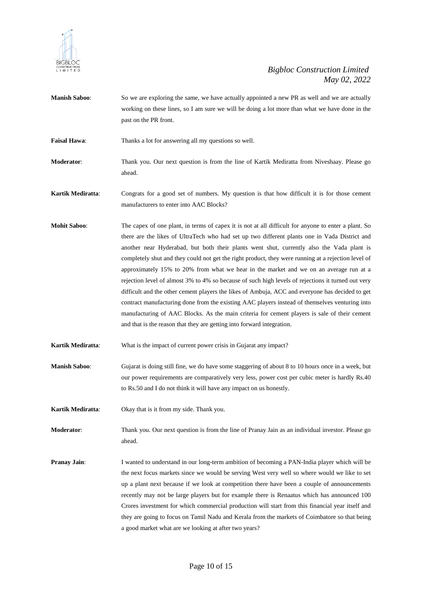

- **Manish Saboo:** So we are exploring the same, we have actually appointed a new PR as well and we are actually working on these lines, so I am sure we will be doing a lot more than what we have done in the past on the PR front.
- **Faisal Hawa:** Thanks a lot for answering all my questions so well.
- **Moderator**: Thank you. Our next question is from the line of Kartik Mediratta from Niveshaay. Please go ahead.
- **Kartik Mediratta**: Congrats for a good set of numbers. My question is that how difficult it is for those cement manufacturers to enter into AAC Blocks?
- **Mohit Saboo**: The capex of one plant, in terms of capex it is not at all difficult for anyone to enter a plant. So there are the likes of UltraTech who had set up two different plants one in Vada District and another near Hyderabad, but both their plants went shut, currently also the Vada plant is completely shut and they could not get the right product, they were running at a rejection level of approximately 15% to 20% from what we hear in the market and we on an average run at a rejection level of almost 3% to 4% so because of such high levels of rejections it turned out very difficult and the other cement players the likes of Ambuja, ACC and everyone has decided to get contract manufacturing done from the existing AAC players instead of themselves venturing into manufacturing of AAC Blocks. As the main criteria for cement players is sale of their cement and that is the reason that they are getting into forward integration.
- **Kartik Mediratta:** What is the impact of current power crisis in Gujarat any impact?
- **Manish Saboo**: Gujarat is doing still fine, we do have some staggering of about 8 to 10 hours once in a week, but our power requirements are comparatively very less, power cost per cubic meter is hardly Rs.40 to Rs.50 and I do not think it will have any impact on us honestly.
- **Kartik Mediratta**: Okay that is it from my side. Thank you.
- **Moderator**: Thank you. Our next question is from the line of Pranay Jain as an individual investor. Please go ahead.
- **Pranay Jain**: I wanted to understand in our long-term ambition of becoming a PAN-India player which will be the next focus markets since we would be serving West very well so where would we like to set up a plant next because if we look at competition there have been a couple of announcements recently may not be large players but for example there is Renaatus which has announced 100 Crores investment for which commercial production will start from this financial year itself and they are going to focus on Tamil Nadu and Kerala from the markets of Coimbatore so that being a good market what are we looking at after two years?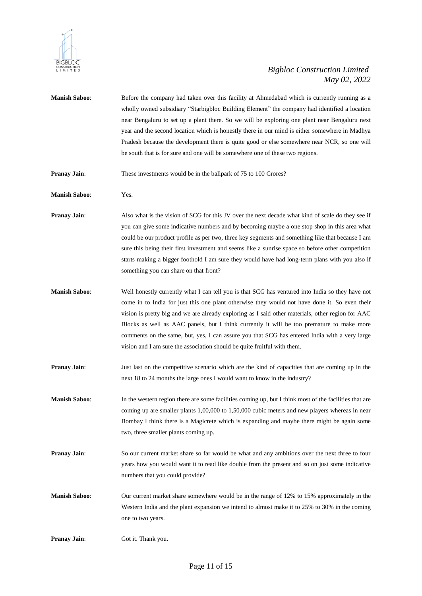

**Manish Saboo:** Before the company had taken over this facility at Ahmedabad which is currently running as a wholly owned subsidiary "Starbigbloc Building Element" the company had identified a location near Bengaluru to set up a plant there. So we will be exploring one plant near Bengaluru next year and the second location which is honestly there in our mind is either somewhere in Madhya Pradesh because the development there is quite good or else somewhere near NCR, so one will be south that is for sure and one will be somewhere one of these two regions. **Pranay Jain**: These investments would be in the ballpark of 75 to 100 Crores? **Manish Saboo**: Yes. **Pranay Jain:** Also what is the vision of SCG for this JV over the next decade what kind of scale do they see if you can give some indicative numbers and by becoming maybe a one stop shop in this area what could be our product profile as per two, three key segments and something like that because I am sure this being their first investment and seems like a sunrise space so before other competition starts making a bigger foothold I am sure they would have had long-term plans with you also if something you can share on that front? **Manish Saboo**: Well honestly currently what I can tell you is that SCG has ventured into India so they have not come in to India for just this one plant otherwise they would not have done it. So even their vision is pretty big and we are already exploring as I said other materials, other region for AAC Blocks as well as AAC panels, but I think currently it will be too premature to make more comments on the same, but, yes, I can assure you that SCG has entered India with a very large vision and I am sure the association should be quite fruitful with them. **Pranay Jain:** Just last on the competitive scenario which are the kind of capacities that are coming up in the next 18 to 24 months the large ones I would want to know in the industry? **Manish Saboo**: In the western region there are some facilities coming up, but I think most of the facilities that are coming up are smaller plants 1,00,000 to 1,50,000 cubic meters and new players whereas in near Bombay I think there is a Magicrete which is expanding and maybe there might be again some two, three smaller plants coming up. **Pranay Jain**: So our current market share so far would be what and any ambitions over the next three to four years how you would want it to read like double from the present and so on just some indicative numbers that you could provide? **Manish Saboo**: Our current market share somewhere would be in the range of 12% to 15% approximately in the Western India and the plant expansion we intend to almost make it to 25% to 30% in the coming one to two years. **Pranay Jain:** Got it. Thank you.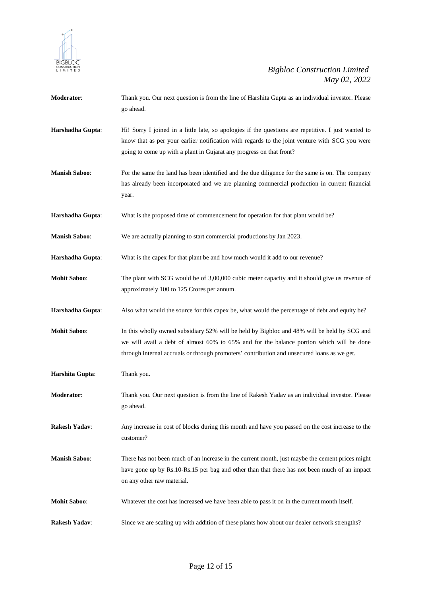

- **Moderator**: Thank you. Our next question is from the line of Harshita Gupta as an individual investor. Please go ahead.
- **Harshadha Gupta**: Hi! Sorry I joined in a little late, so apologies if the questions are repetitive. I just wanted to know that as per your earlier notification with regards to the joint venture with SCG you were going to come up with a plant in Gujarat any progress on that front?
- **Manish Saboo:** For the same the land has been identified and the due diligence for the same is on. The company has already been incorporated and we are planning commercial production in current financial year.
- **Harshadha Gupta**: What is the proposed time of commencement for operation for that plant would be?
- **Manish Saboo**: We are actually planning to start commercial productions by Jan 2023.
- **Harshadha Gupta**: What is the capex for that plant be and how much would it add to our revenue?
- **Mohit Saboo:** The plant with SCG would be of 3,00,000 cubic meter capacity and it should give us revenue of approximately 100 to 125 Crores per annum.
- **Harshadha Gupta**: Also what would the source for this capex be, what would the percentage of debt and equity be?
- **Mohit Saboo**: In this wholly owned subsidiary 52% will be held by Bigbloc and 48% will be held by SCG and we will avail a debt of almost 60% to 65% and for the balance portion which will be done through internal accruals or through promoters' contribution and unsecured loans as we get.
- **Harshita Gupta**: Thank you.
- **Moderator**: Thank you. Our next question is from the line of Rakesh Yadav as an individual investor. Please go ahead.
- **Rakesh Yadav:** Any increase in cost of blocks during this month and have you passed on the cost increase to the customer?
- **Manish Saboo**: There has not been much of an increase in the current month, just maybe the cement prices might have gone up by Rs.10-Rs.15 per bag and other than that there has not been much of an impact on any other raw material.
- **Mohit Saboo**: Whatever the cost has increased we have been able to pass it on in the current month itself.
- **Rakesh Yadav**: Since we are scaling up with addition of these plants how about our dealer network strengths?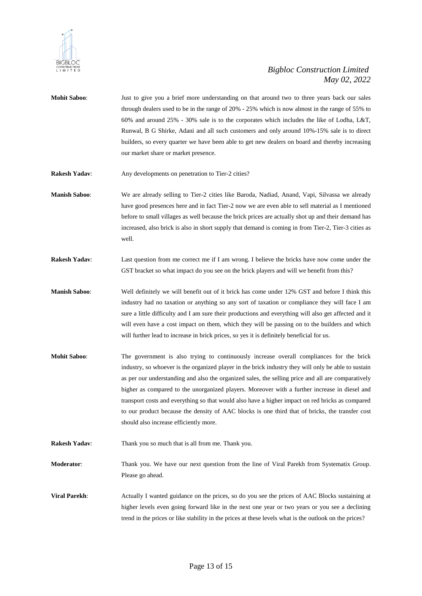

- **Mohit Saboo**: Just to give you a brief more understanding on that around two to three years back our sales through dealers used to be in the range of 20% - 25% which is now almost in the range of 55% to 60% and around 25% - 30% sale is to the corporates which includes the like of Lodha, L&T, Runwal, B G Shirke, Adani and all such customers and only around 10%-15% sale is to direct builders, so every quarter we have been able to get new dealers on board and thereby increasing our market share or market presence.
- **Rakesh Yadav:** Any developments on penetration to Tier-2 cities?
- **Manish Saboo**: We are already selling to Tier-2 cities like Baroda, Nadiad, Anand, Vapi, Silvassa we already have good presences here and in fact Tier-2 now we are even able to sell material as I mentioned before to small villages as well because the brick prices are actually shot up and their demand has increased, also brick is also in short supply that demand is coming in from Tier-2, Tier-3 cities as well.
- **Rakesh Yadav**: Last question from me correct me if I am wrong. I believe the bricks have now come under the GST bracket so what impact do you see on the brick players and will we benefit from this?
- **Manish Saboo**: Well definitely we will benefit out of it brick has come under 12% GST and before I think this industry had no taxation or anything so any sort of taxation or compliance they will face I am sure a little difficulty and I am sure their productions and everything will also get affected and it will even have a cost impact on them, which they will be passing on to the builders and which will further lead to increase in brick prices, so yes it is definitely beneficial for us.
- **Mohit Saboo**: The government is also trying to continuously increase overall compliances for the brick industry, so whoever is the organized player in the brick industry they will only be able to sustain as per our understanding and also the organized sales, the selling price and all are comparatively higher as compared to the unorganized players. Moreover with a further increase in diesel and transport costs and everything so that would also have a higher impact on red bricks as compared to our product because the density of AAC blocks is one third that of bricks, the transfer cost should also increase efficiently more.
- **Rakesh Yadav:** Thank you so much that is all from me. Thank you.

**Moderator**: Thank you. We have our next question from the line of Viral Parekh from Systematix Group. Please go ahead.

**Viral Parekh:** Actually I wanted guidance on the prices, so do you see the prices of AAC Blocks sustaining at higher levels even going forward like in the next one year or two years or you see a declining trend in the prices or like stability in the prices at these levels what is the outlook on the prices?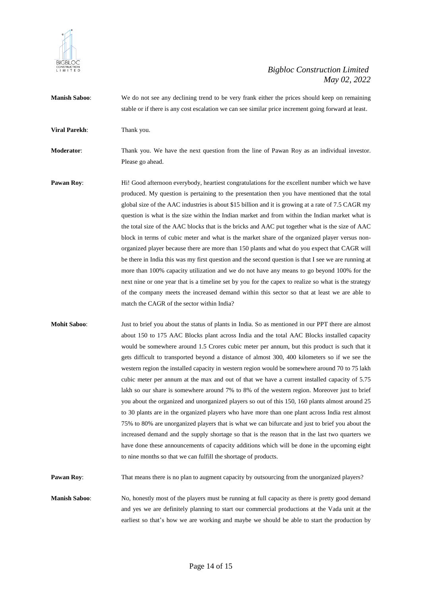

**Manish Saboo**: We do not see any declining trend to be very frank either the prices should keep on remaining stable or if there is any cost escalation we can see similar price increment going forward at least.

**Viral Parekh:** Thank you.

**Moderator**: Thank you. We have the next question from the line of Pawan Roy as an individual investor. Please go ahead.

- **Pawan Roy:** Hi! Good afternoon everybody, heartiest congratulations for the excellent number which we have produced. My question is pertaining to the presentation then you have mentioned that the total global size of the AAC industries is about \$15 billion and it is growing at a rate of 7.5 CAGR my question is what is the size within the Indian market and from within the Indian market what is the total size of the AAC blocks that is the bricks and AAC put together what is the size of AAC block in terms of cubic meter and what is the market share of the organized player versus nonorganized player because there are more than 150 plants and what do you expect that CAGR will be there in India this was my first question and the second question is that I see we are running at more than 100% capacity utilization and we do not have any means to go beyond 100% for the next nine or one year that is a timeline set by you for the capex to realize so what is the strategy of the company meets the increased demand within this sector so that at least we are able to match the CAGR of the sector within India?
- **Mohit Saboo**: Just to brief you about the status of plants in India. So as mentioned in our PPT there are almost about 150 to 175 AAC Blocks plant across India and the total AAC Blocks installed capacity would be somewhere around 1.5 Crores cubic meter per annum, but this product is such that it gets difficult to transported beyond a distance of almost 300, 400 kilometers so if we see the western region the installed capacity in western region would be somewhere around 70 to 75 lakh cubic meter per annum at the max and out of that we have a current installed capacity of 5.75 lakh so our share is somewhere around 7% to 8% of the western region. Moreover just to brief you about the organized and unorganized players so out of this 150, 160 plants almost around 25 to 30 plants are in the organized players who have more than one plant across India rest almost 75% to 80% are unorganized players that is what we can bifurcate and just to brief you about the increased demand and the supply shortage so that is the reason that in the last two quarters we have done these announcements of capacity additions which will be done in the upcoming eight to nine months so that we can fulfill the shortage of products.

**Pawan Roy:** That means there is no plan to augment capacity by outsourcing from the unorganized players?

**Manish Saboo:** No, honestly most of the players must be running at full capacity as there is pretty good demand and yes we are definitely planning to start our commercial productions at the Vada unit at the earliest so that's how we are working and maybe we should be able to start the production by